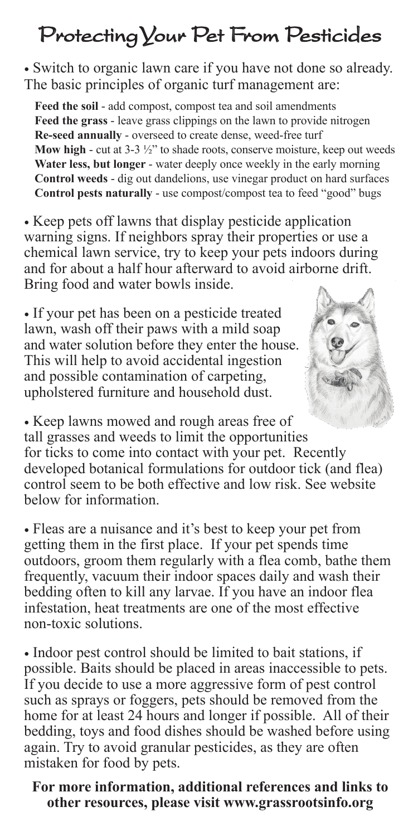## Protecting Your Pet From Pesticides

• Switch to organic lawn care if you have not done so already. The basic principles of organic turf management are:

**Feed the soil** - add compost, compost tea and soil amendments **Feed the grass** - leave grass clippings on the lawn to provide nitrogen **Re-seed annually** - overseed to create dense, weed-free turf **Mow high** - cut at 3-3  $\frac{1}{2}$ " to shade roots, conserve moisture, keep out weeds **Water less, but longer** - water deeply once weekly in the early morning **Control weeds** - dig out dandelions, use vinegar product on hard surfaces **Control pests naturally** - use compost/compost tea to feed "good" bugs

• Keep pets off lawns that display pesticide application warning signs. If neighbors spray their properties or use a chemical lawn service, try to keep your pets indoors during and for about a half hour afterward to avoid airborne drift. Bring food and water bowls inside.

• If your pet has been on a pesticide treated lawn, wash off their paws with a mild soap and water solution before they enter the house. This will help to avoid accidental ingestion and possible contamination of carpeting, upholstered furniture and household dust.



• Fleas are a nuisance and it's best to keep your pet from getting them in the first place. If your pet spends time outdoors, groom them regularly with a flea comb, bathe them frequently, vacuum their indoor spaces daily and wash their bedding often to kill any larvae. If you have an indoor flea infestation, heat treatments are one of the most effective non-toxic solutions.

• Indoor pest control should be limited to bait stations, if possible. Baits should be placed in areas inaccessible to pets. If you decide to use a more aggressive form of pest control such as sprays or foggers, pets should be removed from the home for at least 24 hours and longer if possible. All of their bedding, toys and food dishes should be washed before using again. Try to avoid granular pesticides, as they are often mistaken for food by pets.

## **For more information, additional references and links to other resources, please visit www.grassrootsinfo.org**